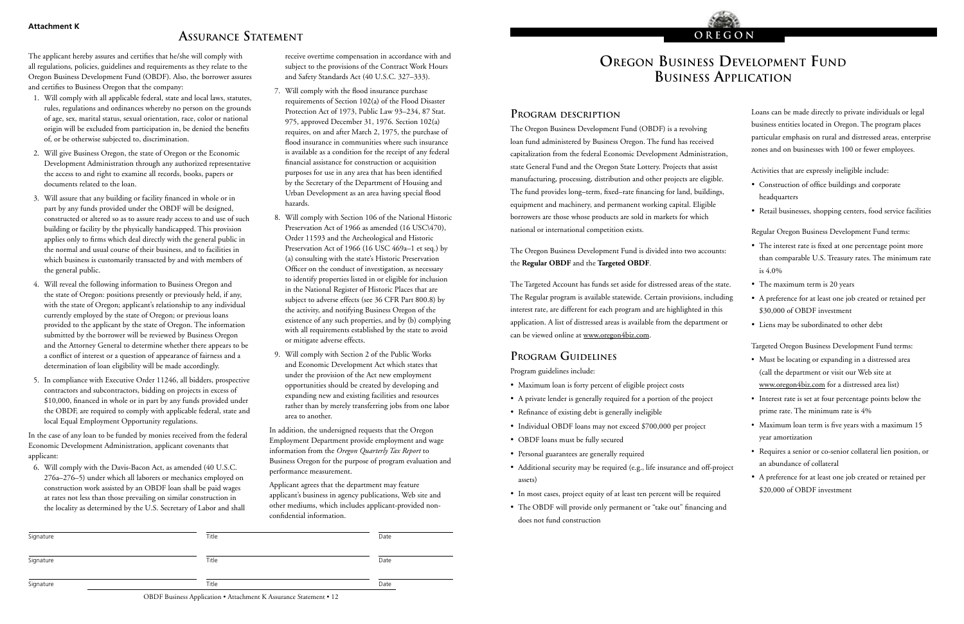# **OREGON BUSINESS DEVELOPMENT FUND Business Application**

**Oregon**

### **Program description**

The Oregon Business Development Fund (OBDF) is a revolving loan fund administered by Business Oregon. The fund has received capitalization from the federal Economic Development Administration, state General Fund and the Oregon State Lottery. Projects that assist manufacturing, processing, distribution and other projects are eligible. The fund provides long–term, fixed–rate financing for land, buildings, equipment and machinery, and permanent working capital. Eligible borrowers are those whose products are sold in markets for which national or international competition exists.

The Oregon Business Development Fund is divided into two accounts: the **Regular OBDF** and the **Targeted OBDF**.

The Targeted Account has funds set aside for distressed areas of the state. The Regular program is available statewide. Certain provisions, including interest rate, are different for each program and are highlighted in this application. A list of distressed areas is avai[lable from the departm](http://www.oregon4biz.com/The-Oregon-Advantage/Oregon-Economic-Data/Distressed-Areas-in-Oregon/)ent or can be viewed online at www.oregon4biz.com.

## **Program Guidelines**

Program guidelines include:

- Maximum loan is forty percent of eligible project costs
- A private lender is generally required for a portion of the project
- Refinance of existing debt is generally ineligible
- Individual OBDF loans may not exceed \$700,000 per project
- OBDF loans must be fully secured
- Personal guarantees are generally required
- Additional security may be required (e.g., life insurance and off-project assets)
- In most cases, project equity of at least ten percent will be required
- The OBDF will provide only permanent or "take out" financing and does not fund construction

Loans can be made directly to private individuals or legal business entities located in Oregon. The program places particular emphasis on rural and distressed areas, enterprise zones and on businesses with 100 or fewer employees.

Activities that are expressly ineligible include:

- Construction of office buildings and corporate headquarters
- Retail businesses, shopping centers, food service facilities

Regular Oregon Business Development Fund terms:

- The interest rate is fixed at one percentage point more than comparable U.S. Treasury rates. The minimum rate is 4.0%
- The maximum term is 20 years
- A preference for at least one job created or retained per \$30,000 of OBDF investment
- Liens may be subordinated to other debt

Targeted Oregon Business Development Fund terms:

- Must be [locating](http://www.oregon4biz.com/The-Oregon-Advantage/Oregon-Economic-Data/Distressed-Areas-in-Oregon/) or expanding in a distressed area (call the department or visit our Web site at www.oregon4biz.com for a distressed area list)
- Interest rate is set at four percentage points below the prime rate. The minimum rate is 4%
- Maximum loan term is five years with a maximum 15 year amortization
- Requires a senior or co-senior collateral lien position, or an abundance of collateral
- A preference for at least one job created or retained per \$20,000 of OBDF investment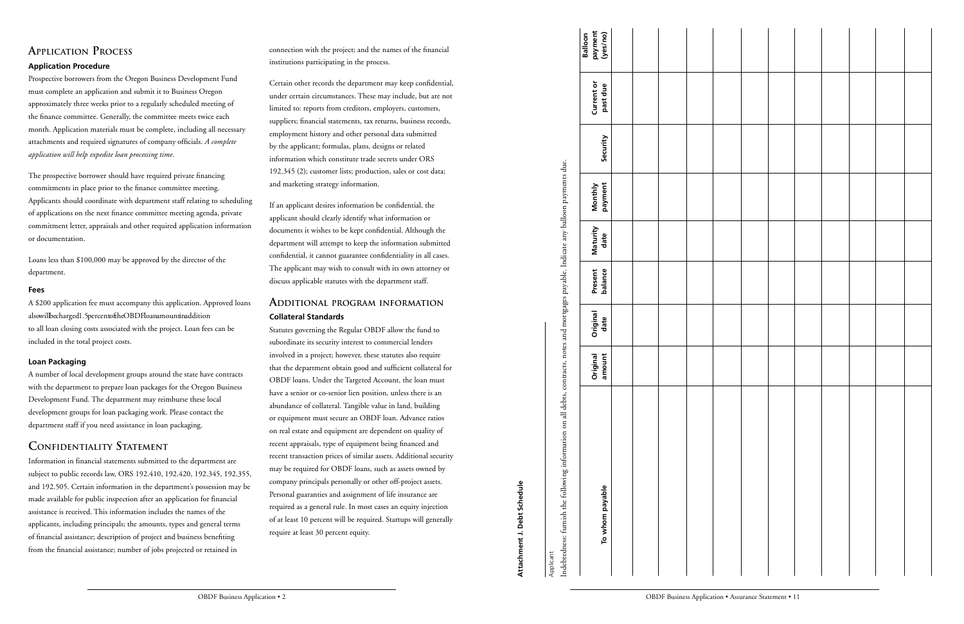## **ApplicAtiOn prOcess**

### **Application Procedure**

Prospective borrowers from the Oregon Business Development Fund must complete an application and submit it to Business Oregon approximately three weeks prior to a regularly scheduled meeting of the finance committee. Generally, the committee meets twice each month. Application materials must be complete, including all necessary attachments and required signatures of company officials. *A complete application will help expedite loan processing time.*

The prospective borrower should have required private financing commitments in place prior to the finance committee meeting. Applicants should coordinate with department staff relating to scheduling of applications on the next finance committee meeting agenda, private commitment letter, appraisals and other required application information or documentation.

Loans less than \$100,000 may be approved by the director of the department.

#### **Fees**

A \$200 application fee must accompany this application. Approved loans alsowillbecharged1.5percentoftheOBDFloanamountinaddition to all loan closing costs associated with the project. Loan fees can be included in the total project costs.

### **Loan Packaging**

A number of local development groups around the state have contracts with the department to prepare loan packages for the Oregon Business Development Fund. The department may reimburse these local development groups for loan packaging work. Please contact the department staff if you need assistance in loan packaging.

### **cOnFiDentiAlity stAtement**

Information in financial statements submitted to the department are subject to public records law, ORS 192.410, 192.420, 192.345, 192.355, and 192.505. Certain information in the department's possession may be made available for public inspection after an application for financial assistance is received. This information includes the names of the applicants, including principals; the amounts, types and general terms of financial assistance; description of project and business benefiting from the financial assistance; number of jobs projected or retained in

connection with the project; and the names of the financial institutions participating in the process.

Certain other records the department may keep confidential, under certain circumstances. These may include, but are not limited to: reports from creditors, employers, customers, suppliers; financial statements, tax returns, business records, employment history and other personal data submitted by the applicant; formulas, plans, designs or related information which constitute trade secrets under ORS 192.345 (2); customer lists; production, sales or cost data; and marketing strategy information.

If an applicant desires information be confidential, the applicant should clearly identify what information or documents it wishes to be kept confidential. Although the department will attempt to keep the information submitted confidential, it cannot guarantee confidentiality in all cases. The applicant may wish to consult with its own attorney or discuss applicable statutes with the department staff.

### **ADDitiOnAl prOgrAm inFOrmAtiOn Collateral Standards**

Statutes governing the Regular OBDF allow the fund to subordinate its security interest to commercial lenders involved in a project; however, these statutes also require that the department obtain good and sufficient collateral for OBDF loans. Under the Targeted Account, the loan must have a senior or co-senior lien position, unless there is an abundance of collateral. Tangible value in land, building or equipment must secure an OBDF loan. Advance ratios on real estate and equipment are dependent on quality of recent appraisals, type of equipment being financed and recent transaction prices of similar assets. Additional security may be required for OBDF loans, such as assets owned by company principals personally or other off-project assets. Personal guaranties and assignment of life insurance are required as a general rule. In most cases an equity injection of at least 10 percent will be required. Startups will generally require at least 30 percent equity. connection with the project, and the numer of the financial<br>spinner First contain the metric of the spinner and the state of the state of the state of the state of the state of the state of the state of the state of the s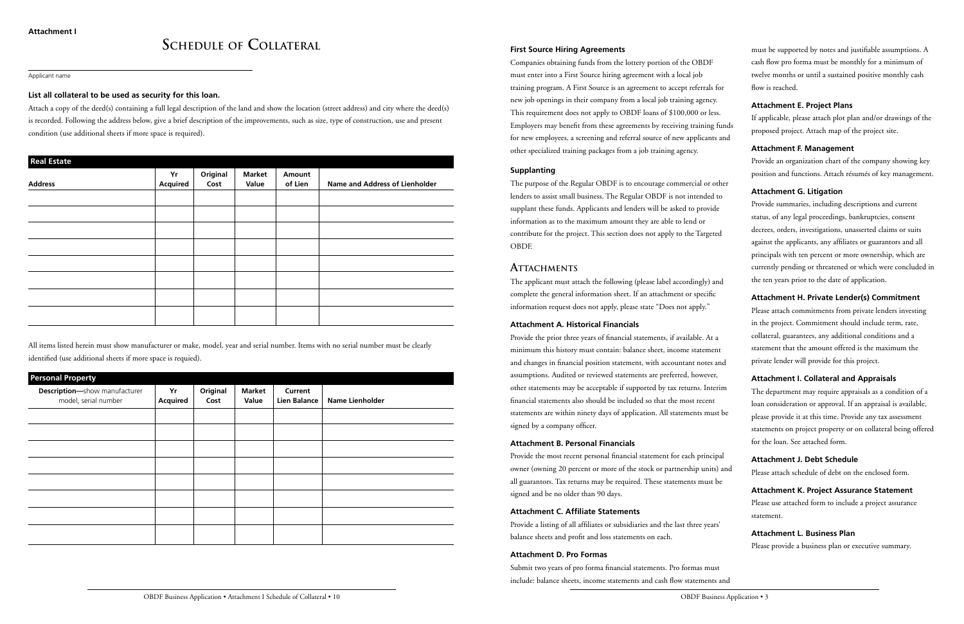#### **First Source Hiring Agreements**

Companies obtaining funds from the lottery portion of the OBDF must enter into a First Source hiring agreement with a local job training program. A First Source is an agreement to accept referrals for new job openings in their company from a local job training agency. This requirement does not apply to OBDF loans of \$100,000 or less. Employers may benefit from these agreements by receiving training funds for new employees, a screening and referral source of new applicants and other specialized training packages from a job training agency.

#### **Supplanting**

The purpose of the Regular OBDF is to encourage commercial or other lenders to assist small business. The Regular OBDF is not intended to supplant these funds. Applicants and lenders will be asked to provide information as to the maximum amount they are able to lend or contribute for the project. This section does not apply to the Targeted OBDF.

### **ATTACHMENTS**

The applicant must attach the following (please label accordingly) and complete the general information sheet. If an attachment or specific information request does not apply, please state "Does not apply."

#### **Attachment A. Historical Financials**

Provide the prior three years of financial statements, if available. At a minimum this history must contain: balance sheet, income statement and changes in financial position statement, with accountant notes and assumptions. Audited or reviewed statements are preferred, however, other statements may be acceptable if supported by tax returns. Interim financial statements also should be included so that the most recent statements are within ninety days of application. All statements must be signed by a company officer.

#### **Attachment B. Personal Financials**

Provide the most recent personal financial statement for each principal owner (owning 20 percent or more of the stock or partnership units) and all guarantors. Tax returns may be required. These statements must be signed and be no older than 90 days.

#### **Attachment C. Affiliate Statements**

Provide a listing of all affiliates or subsidiaries and the last three years' balance sheets and profit and loss statements on each.

#### **Attachment D. Pro Formas**

Submit two years of pro forma financial statements. Pro formas must include: balance sheets, income statements and cash flow statements and

must be supported by notes and justifiable assumptions. A cash flow pro forma must be monthly for a minimum of twelve months or until a sustained positive monthly cash flow is reached.

#### **Attachment E. Project Plans**

If applicable, please attach plot plan and/or drawings of the proposed project. Attach map of the project site.

#### **Attachment F. Management**

Provide an organization chart of the company showing key position and functions. Attach résumés of key management.

#### **Attachment G. Litigation**

Provide summaries, including descriptions and current status, of any legal proceedings, bankruptcies, consent decrees, orders, investigations, unasserted claims or suits against the applicants, any affiliates or guarantors and all principals with ten percent or more ownership, which are currently pending or threatened or which were concluded in the ten years prior to the date of application.

#### **Attachment H. Private Lender(s) Commitment**

Please attach commitments from private lenders investing in the project. Commitment should include term, rate, collateral, guarantees, any additional conditions and a statement that the amount offered is the maximum the private lender will provide for this project.

#### **Attachment I. Collateral and Appraisals**

The department may require appraisals as a condition of a loan consideration or approval. If an appraisal is available, please provide it at this time. Provide any tax assessment statements on project property or on collateral being offered for the loan. See attached form.

#### **Attachment J. Debt Schedule**

Please attach schedule of debt on the enclosed form.

#### **Attachment K. Project Assurance Statement**

Please use attached form to include a project assurance statement.

#### **Attachment L. Business Plan**

Please provide a business plan or executive summary.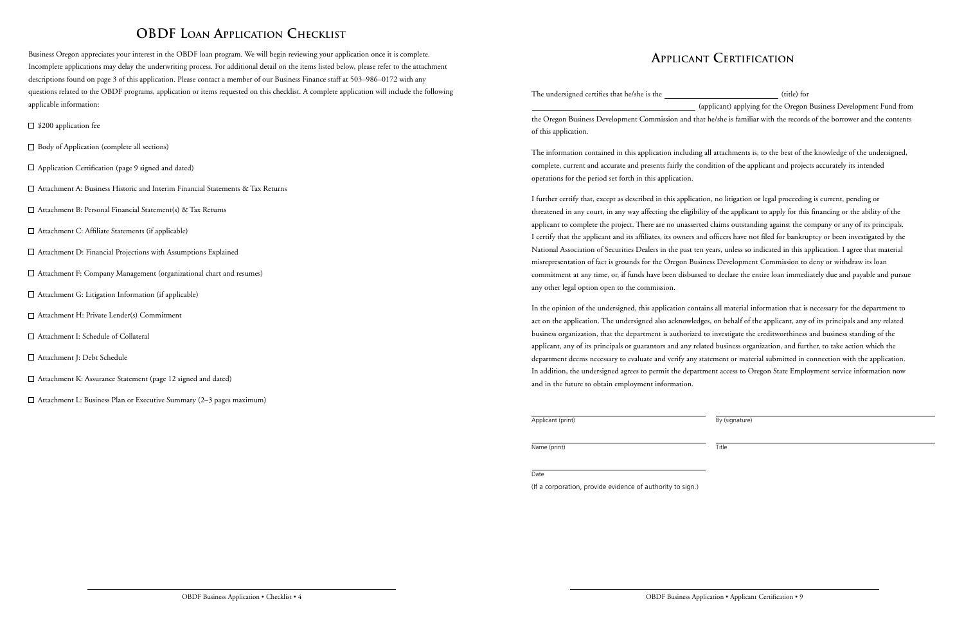# **OBDF Loan Application Checklist**

Business Oregon appreciates your interest in the OBDF loan program. We will begin reviewing your application once it is complete. Incomplete applications may delay the underwriting process. For additional detail on the items listed below, please refer to the attachment descriptions found on page 3 of this application. Please contact a member of our Business Finance staff at 503–986–0172 with any questions related to the OBDF programs, application or items requested on this checklist. A complete application will include the following applicable information:

- $\square$  \$200 application fee
- Body of Application (complete all sections)
- $\Box$  Application Certification (page 9 signed and dated)
- $\Box$  Attachment A: Business Historic and Interim Financial Statements & Tax Returns
- $\Box$  Attachment B: Personal Financial Statement(s) & Tax Returns
- $\Box$  Attachment C: Affiliate Statements (if applicable)
- Attachment D: Financial Projections with Assumptions Explained
- Attachment F: Company Management (organizational chart and resumes)
- $\Box$  Attachment G: Litigation Information (if applicable)
- Attachment H: Private Lender(s) Commitment
- Attachment I: Schedule of Collateral
- Attachment J: Debt Schedule
- □ Attachment K: Assurance Statement (page 12 signed and dated)
- $\Box$  Attachment L: Business Plan or Executive Summary (2–3 pages maximum)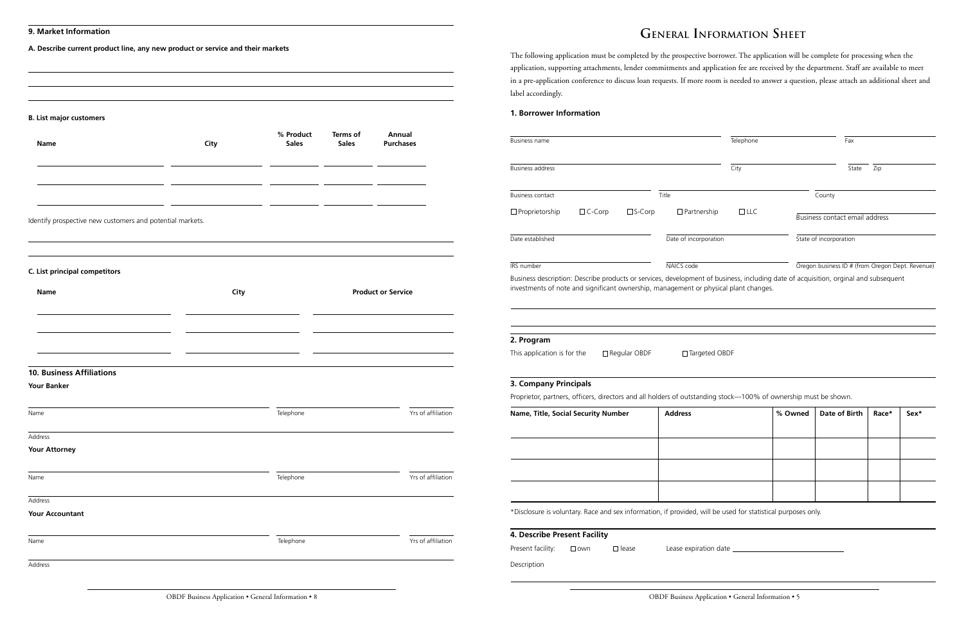## **General Information Sheet**

The following application must be completed by the prospective borrower. The application will be complete for processing when the application, supporting attachments, lender commitments and application fee are received by the department. Staff are available to meet in a pre-application conference to discuss loan requests. If more room is needed to answer a question, please attach an additional sheet and label accordingly.

### **1. Borrower Information**

| <b>Business name</b>                                                                                                                                                                                                        | Telephone             | Fax        |         |                                                  |       |      |
|-----------------------------------------------------------------------------------------------------------------------------------------------------------------------------------------------------------------------------|-----------------------|------------|---------|--------------------------------------------------|-------|------|
| <b>Business address</b>                                                                                                                                                                                                     |                       | City       | State   | Zip                                              |       |      |
| Business contact                                                                                                                                                                                                            | Title                 |            |         | County                                           |       |      |
| □ Proprietorship<br>$\Box$ C-Corp<br>$\square$ S-Corp                                                                                                                                                                       | $\Box$ Partnership    | $\Box$ LLC |         | Business contact email address                   |       |      |
| Date established                                                                                                                                                                                                            | Date of incorporation |            |         | State of incorporation                           |       |      |
| IRS number                                                                                                                                                                                                                  | NAICS code            |            |         | Oregon business ID # (from Oregon Dept. Revenue) |       |      |
| Business description: Describe products or services, development of business, including date of acquisition, orginal and subsequent<br>investments of note and significant ownership, management or physical plant changes. |                       |            |         |                                                  |       |      |
|                                                                                                                                                                                                                             |                       |            |         |                                                  |       |      |
| 2. Program                                                                                                                                                                                                                  |                       |            |         |                                                  |       |      |
| This application is for the<br>□ Regular OBDF                                                                                                                                                                               | □ Targeted OBDF       |            |         |                                                  |       |      |
| 3. Company Principals<br>Proprietor, partners, officers, directors and all holders of outstanding stock-100% of ownership must be shown.                                                                                    |                       |            |         |                                                  |       |      |
| Name, Title, Social Security Number                                                                                                                                                                                         | <b>Address</b>        |            | % Owned | Date of Birth                                    | Race* | Sex* |
|                                                                                                                                                                                                                             |                       |            |         |                                                  |       |      |
|                                                                                                                                                                                                                             |                       |            |         |                                                  |       |      |
|                                                                                                                                                                                                                             |                       |            |         |                                                  |       |      |
|                                                                                                                                                                                                                             |                       |            |         |                                                  |       |      |
|                                                                                                                                                                                                                             |                       |            |         |                                                  |       |      |
| *Disclosure is voluntary. Race and sex information, if provided, will be used for statistical purposes only.                                                                                                                |                       |            |         |                                                  |       |      |
| 4. Describe Present Facility                                                                                                                                                                                                |                       |            |         |                                                  |       |      |
| Present facility:<br>$\Box$ own<br>$\Box$ lease                                                                                                                                                                             |                       |            |         |                                                  |       |      |
| Description                                                                                                                                                                                                                 |                       |            |         |                                                  |       |      |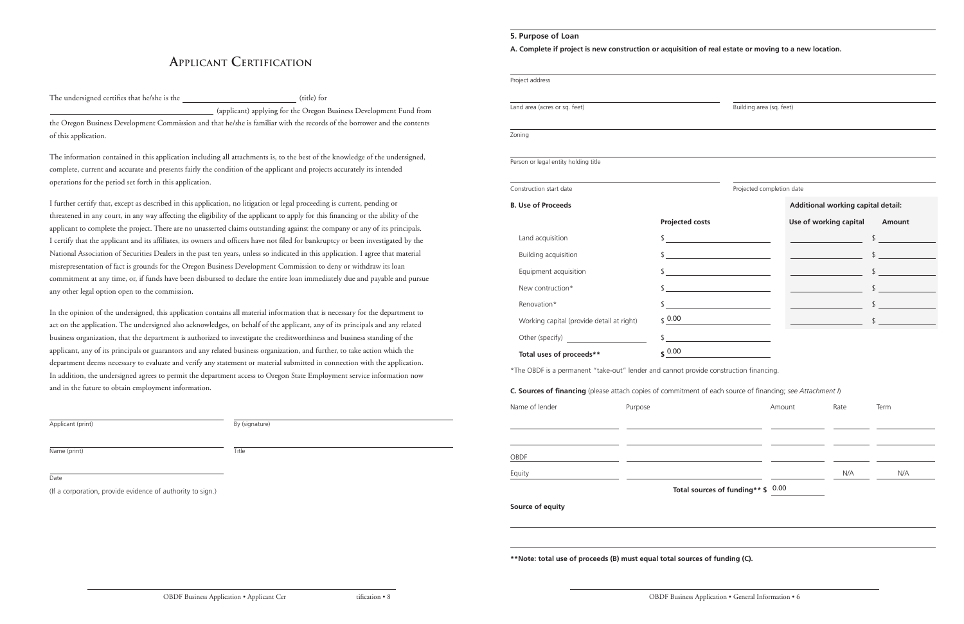### **5. Purpose of Loan**

**A. Complete if project is new construction or acquisition of real estate or moving to a new location.**

| Project address                                                                                            |         |                                                           |                                              |        |                                                                |               |
|------------------------------------------------------------------------------------------------------------|---------|-----------------------------------------------------------|----------------------------------------------|--------|----------------------------------------------------------------|---------------|
| Land area (acres or sq. feet)                                                                              |         | Building area (sq. feet)                                  |                                              |        |                                                                |               |
| Zoning                                                                                                     |         |                                                           |                                              |        |                                                                |               |
| Person or legal entity holding title                                                                       |         |                                                           |                                              |        |                                                                |               |
| Construction start date                                                                                    |         |                                                           | Projected completion date                    |        |                                                                |               |
| <b>B. Use of Proceeds</b>                                                                                  |         |                                                           |                                              |        | Additional working capital detail:                             |               |
|                                                                                                            |         | <b>Projected costs</b>                                    |                                              |        | Use of working capital Amount                                  |               |
| Land acquisition                                                                                           |         | \$<br><u> 1980 - Andrea Station Barbara, amerikan per</u> |                                              |        | <u> 1999 - Johann Barnett, f</u>                               | $\frac{1}{2}$ |
| <b>Building acquisition</b>                                                                                |         | $\frac{1}{2}$                                             |                                              |        | <u> 1990 - Jan James James Barnett, amerikansk politiker (</u> | $\frac{1}{2}$ |
| Equipment acquisition                                                                                      |         | $\frac{1}{\sqrt{2}}$                                      |                                              |        | <u> 1990 - Johann Barnett, fransk politiker (</u>              | $\frac{1}{2}$ |
| New contruction*                                                                                           |         | $\updownarrow$                                            |                                              |        | <u> 1990 - Johann Barnett, fransk politik (</u>                | $\frac{1}{2}$ |
| Renovation*                                                                                                |         | <u> 1989 - Johann John Stein, fransk politik (</u>        |                                              |        | <u>and the state of the state</u>                              | $\frac{1}{2}$ |
| Working capital (provide detail at right)                                                                  |         | \$0.00                                                    |                                              |        |                                                                | $\frac{1}{2}$ |
| Other (specify)                                                                                            |         | $\updownarrow$                                            |                                              |        |                                                                |               |
| Total uses of proceeds**                                                                                   |         | $$^{0.00}$                                                | <u> 1990 - Jan Barnett, fransk politiker</u> |        |                                                                |               |
| *The OBDF is a permanent "take-out" lender and cannot provide construction financing.                      |         |                                                           |                                              |        |                                                                |               |
| C. Sources of financing (please attach copies of commitment of each source of financing; see Attachment I) |         |                                                           |                                              |        |                                                                |               |
| Name of lender                                                                                             | Purpose |                                                           |                                              | Amount | Rate                                                           | Term          |
|                                                                                                            |         |                                                           |                                              |        |                                                                |               |
| OBDF                                                                                                       |         |                                                           |                                              |        |                                                                |               |
| Equity                                                                                                     |         |                                                           |                                              |        | N/A                                                            | N/A           |
| Source of equity                                                                                           |         |                                                           | Total sources of funding** \$ 0.00           |        |                                                                |               |

**\*\*Note: total use of proceeds (B) must equal total sources of funding (C).**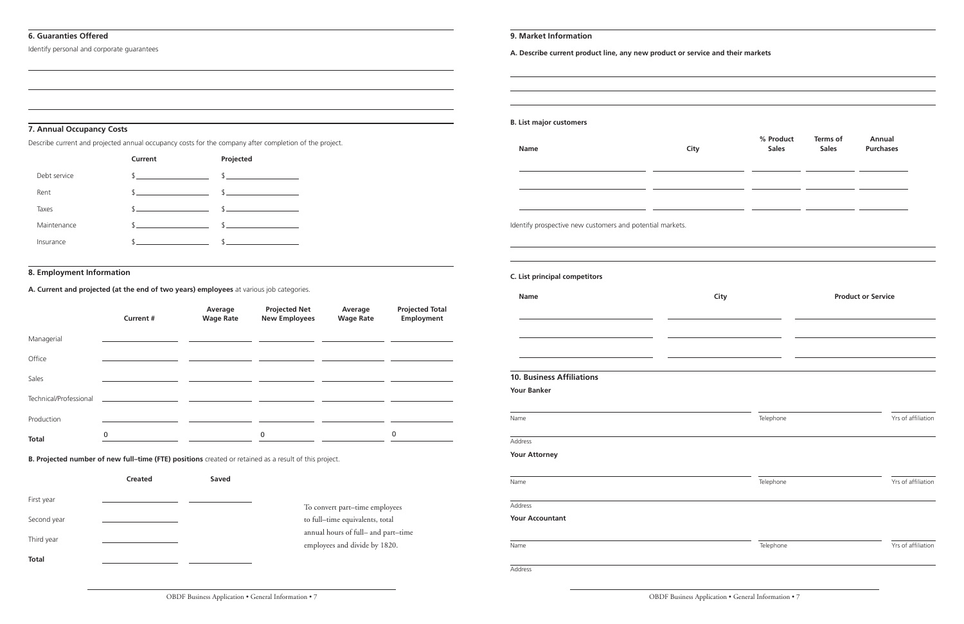#### **6. Guaranties Offered**

Identify personal and corporate guarantees

#### **7. Annual Occupancy Costs**

Describe current and projected annual occupancy costs for the company after completion of the project.

|              | Current       | Projected                     |
|--------------|---------------|-------------------------------|
| Debt service | $\frac{1}{2}$ | $$\overbrace{\hspace{2.5cm}}$ |
| Rent         | $\frac{1}{2}$ | $\sim$                        |
| Taxes        | $\sim$        | $\sim$                        |
| Maintenance  | $\mathbb{S}$  | $\sim$                        |
| Insurance    | $\mathcal{S}$ | $\sim$                        |
|              |               |                               |

#### **8. Employment Information**

**A. Current and projected (at the end of two years) employees** at various job categories.

|                        | <b>Current #</b> | Average<br><b>Wage Rate</b> | <b>Projected Net</b><br><b>New Employees</b> | Average<br><b>Wage Rate</b> | <b>Projected Total</b><br>Employment |
|------------------------|------------------|-----------------------------|----------------------------------------------|-----------------------------|--------------------------------------|
| Managerial             |                  |                             |                                              |                             |                                      |
| Office                 |                  |                             |                                              |                             |                                      |
| Sales                  |                  |                             |                                              |                             |                                      |
| Technical/Professional |                  |                             |                                              |                             |                                      |
| Production             |                  |                             |                                              |                             |                                      |
| <b>Total</b>           | 0                |                             | 0                                            |                             | 0                                    |

**B. Projected number of new full–time (FTE) positions** created or retained as a result of this project.

|              | <b>Created</b> | Saved |                                                                      |
|--------------|----------------|-------|----------------------------------------------------------------------|
| First year   |                |       | To convert part-time employees                                       |
| Second year  |                |       | to full-time equivalents, total                                      |
| Third year   |                |       | annual hours of full- and part-time<br>employees and divide by 1820. |
| <b>Total</b> |                |       |                                                                      |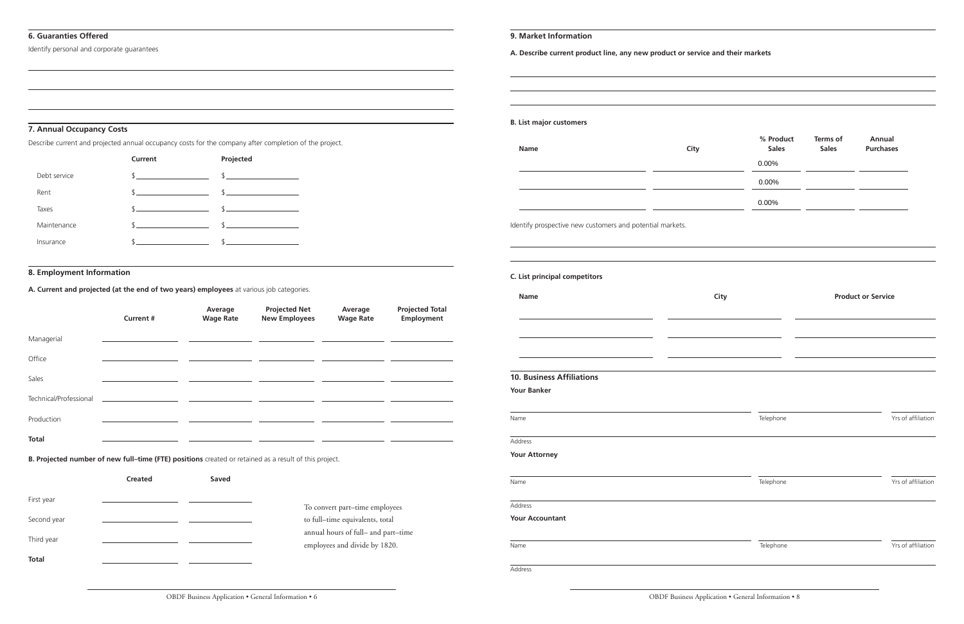#### **9. Market Information**

**A. Describe current product line, any new product or service and their markets**

#### **B. List major customers**

| <b>Name</b> | City | % Product<br><b>Sales</b> | <b>Terms of</b><br><b>Sales</b> | <b>Annual</b><br><b>Purchases</b> |
|-------------|------|---------------------------|---------------------------------|-----------------------------------|
|             |      | 0.00%                     |                                 |                                   |
|             |      | 0.00%                     |                                 |                                   |
|             |      | 0.00%                     |                                 |                                   |

Identify prospective new customers and potential markets.

#### **C. List principal competitors**

| <b>Name</b>                      | City      | <b>Product or Service</b> |  |  |
|----------------------------------|-----------|---------------------------|--|--|
|                                  |           |                           |  |  |
|                                  |           |                           |  |  |
| <b>10. Business Affiliations</b> |           |                           |  |  |
| <b>Your Banker</b>               |           |                           |  |  |
| Name                             | Telephone | Yrs of affiliation        |  |  |
| Address                          |           |                           |  |  |
| <b>Your Attorney</b>             |           |                           |  |  |
| Name                             | Telephone | Yrs of affiliation        |  |  |
| Address                          |           |                           |  |  |
| <b>Your Accountant</b>           |           |                           |  |  |
| Name                             | Telephone | Yrs of affiliation        |  |  |
| Address                          |           |                           |  |  |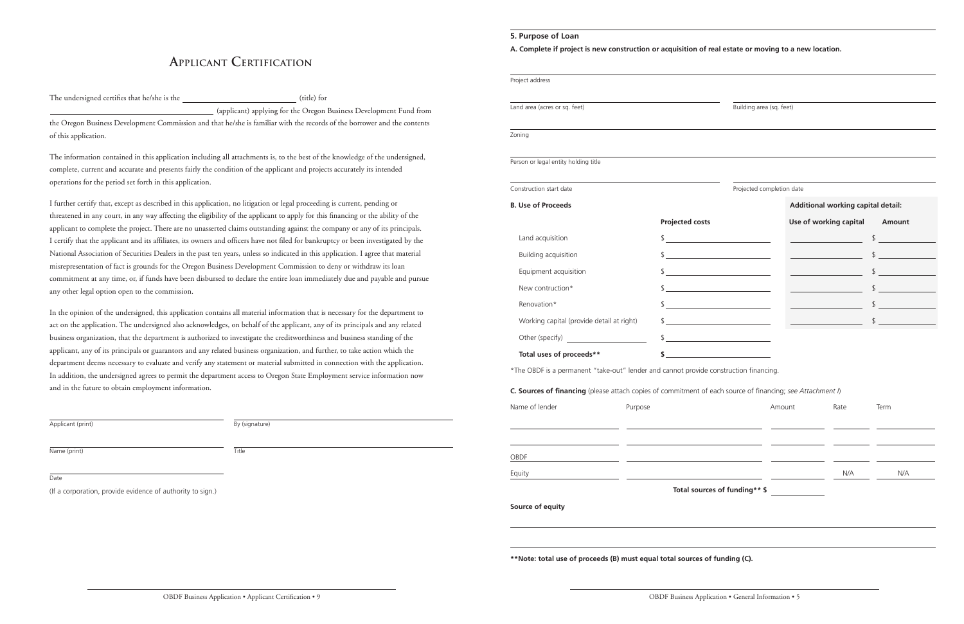## **Applicant Certification**

The undersigned certifies that he/she is the  $(title)$  for

(applicant) applying for the Oregon Business Development Fund from the Oregon Business Development Commission and that he/she is familiar with the records of the borrower and the contents of this application.

The information contained in this application including all attachments is, to the best of the knowledge of the undersigned, complete, current and accurate and presents fairly the condition of the applicant and projects accurately its intended operations for the period set forth in this application.

I further certify that, except as described in this application, no litigation or legal proceeding is current, pending or threatened in any court, in any way affecting the eligibility of the applicant to apply for this financing or the ability of the applicant to complete the project. There are no unasserted claims outstanding against the company or any of its principals. I certify that the applicant and its affiliates, its owners and officers have not filed for bankruptcy or been investigated by the National Association of Securities Dealers in the past ten years, unless so indicated in this application. I agree that material misrepresentation of fact is grounds for the Oregon Business Development Commission to deny or withdraw its loan commitment at any time, or, if funds have been disbursed to declare the entire loan immediately due and payable and pursue any other legal option open to the commission.

In the opinion of the undersigned, this application contains all material information that is necessary for the department to act on the application. The undersigned also acknowledges, on behalf of the applicant, any of its principals and any related business organization, that the department is authorized to investigate the creditworthiness and business standing of the applicant, any of its principals or guarantors and any related business organization, and further, to take action which the department deems necessary to evaluate and verify any statement or material submitted in connection with the application. In addition, the undersigned agrees to permit the department access to Oregon State Employment service information now and in the future to obtain employment information.

Applicant (print) By (signature)

Name (print) Title

Date

(If a corporation, provide evidence of authority to sign.)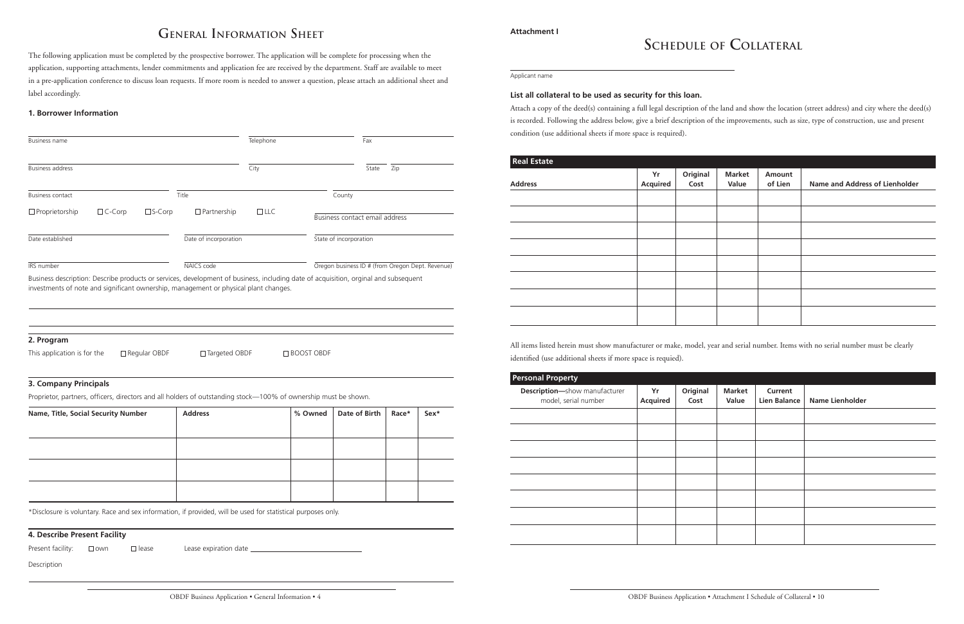# **Schedule of Collateral**

Applicant name

#### **List all collateral to be used as security for this loan.**

Attach a copy of the deed(s) containing a full legal description of the land and show the location (street address) and city where the deed(s) is recorded. Following the address below, give a brief description of the improvements, such as size, type of construction, use and present condition (use additional sheets if more space is required).

| <b>Real Estate</b> |                       |                  |                        |                   |                                |
|--------------------|-----------------------|------------------|------------------------|-------------------|--------------------------------|
| <b>Address</b>     | Yr<br><b>Acquired</b> | Original<br>Cost | <b>Market</b><br>Value | Amount<br>of Lien | Name and Address of Lienholder |
|                    |                       |                  |                        |                   |                                |
|                    |                       |                  |                        |                   |                                |
|                    |                       |                  |                        |                   |                                |
|                    |                       |                  |                        |                   |                                |
|                    |                       |                  |                        |                   |                                |
|                    |                       |                  |                        |                   |                                |
|                    |                       |                  |                        |                   |                                |
|                    |                       |                  |                        |                   |                                |
|                    |                       |                  |                        |                   |                                |

All items listed herein must show manufacturer or make, model, year and serial number. Items with no serial number must be clearly identified (use additional sheets if more space is requied).

| <b>Personal Property</b>                                     |                       |                  |                        |                                |                        |
|--------------------------------------------------------------|-----------------------|------------------|------------------------|--------------------------------|------------------------|
| <b>Description-show manufacturer</b><br>model, serial number | Yr<br><b>Acquired</b> | Original<br>Cost | <b>Market</b><br>Value | Current<br><b>Lien Balance</b> | <b>Name Lienholder</b> |
|                                                              |                       |                  |                        |                                |                        |
|                                                              |                       |                  |                        |                                |                        |
|                                                              |                       |                  |                        |                                |                        |
|                                                              |                       |                  |                        |                                |                        |
|                                                              |                       |                  |                        |                                |                        |
|                                                              |                       |                  |                        |                                |                        |
|                                                              |                       |                  |                        |                                |                        |
|                                                              |                       |                  |                        |                                |                        |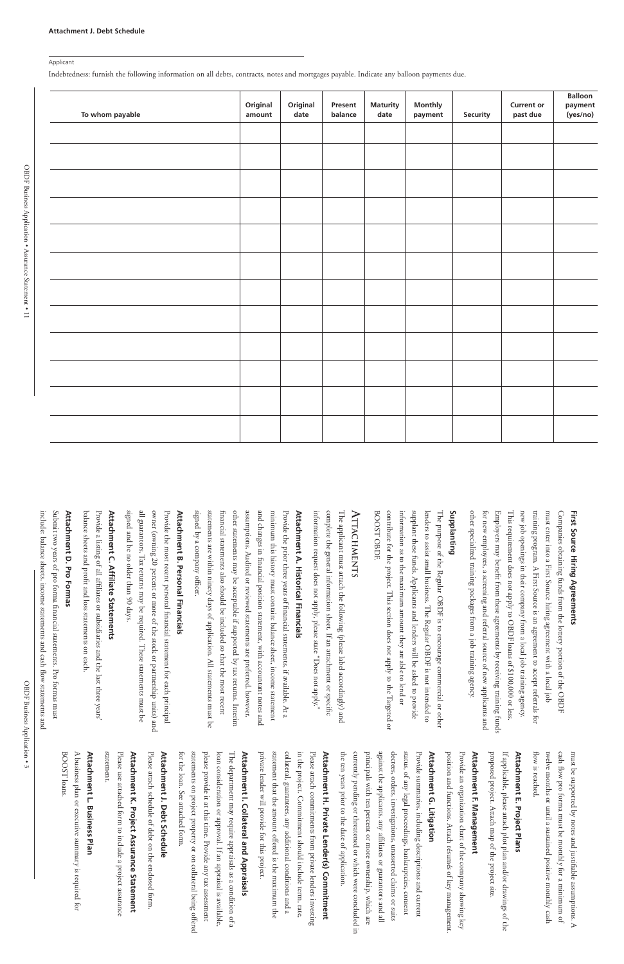#### Applicant

Indebtedness: furnish the following information on all debts, contracts, notes and mortgages payable. Indicate any balloon payments due.

| To whom payable | Original<br>amount | Original<br>date | Present<br>balance | <b>Maturity</b><br>date | <b>Monthly</b><br>payment | <b>Security</b> | <b>Current or</b><br>past due | <b>Balloon</b><br>payment<br>(yes/no) |
|-----------------|--------------------|------------------|--------------------|-------------------------|---------------------------|-----------------|-------------------------------|---------------------------------------|
|                 |                    |                  |                    |                         |                           |                 |                               |                                       |
|                 |                    |                  |                    |                         |                           |                 |                               |                                       |
|                 |                    |                  |                    |                         |                           |                 |                               |                                       |
|                 |                    |                  |                    |                         |                           |                 |                               |                                       |
|                 |                    |                  |                    |                         |                           |                 |                               |                                       |
|                 |                    |                  |                    |                         |                           |                 |                               |                                       |
|                 |                    |                  |                    |                         |                           |                 |                               |                                       |
|                 |                    |                  |                    |                         |                           |                 |                               |                                       |
|                 |                    |                  |                    |                         |                           |                 |                               |                                       |
|                 |                    |                  |                    |                         |                           |                 |                               |                                       |
|                 |                    |                  |                    |                         |                           |                 |                               |                                       |
|                 |                    |                  |                    |                         |                           |                 |                               |                                       |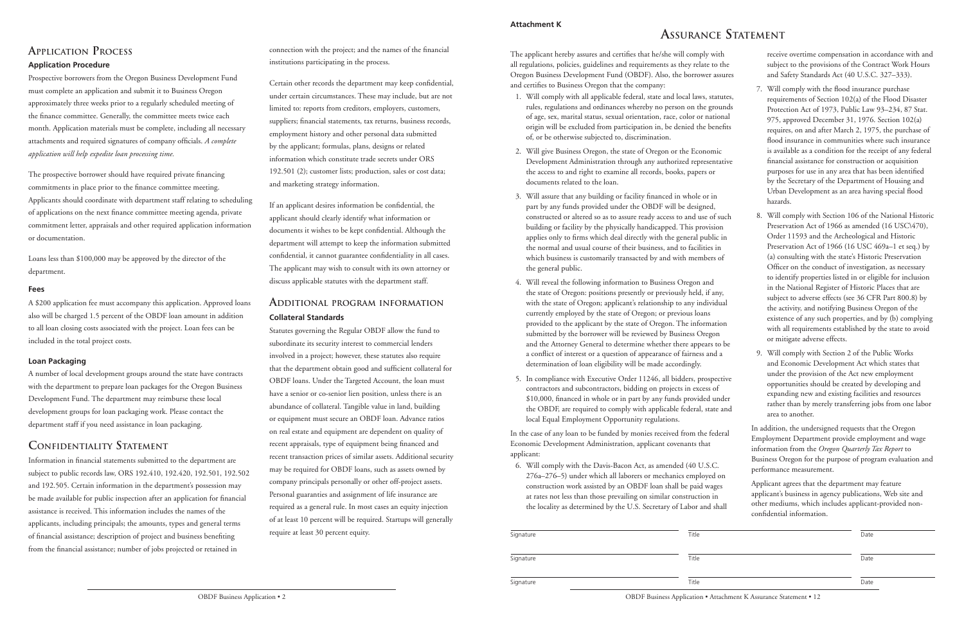#### **Attachment K**

# **Assurance Statement**

The applicant hereby assures and certifies that he/she will comply with all regulations, policies, guidelines and requirements as they relate to the Oregon Business Development Fund (OBDF). Also, the borrower assures and certifies to Business Oregon that the company:

- 1. Will comply with all applicable federal, state and local laws, statutes, rules, regulations and ordinances whereby no person on the grounds of age, sex, marital status, sexual orientation, race, color or national origin will be excluded from participation in, be denied the benefits of, or be otherwise subjected to, discrimination.
- 2. Will give Business Oregon, the state of Oregon or the Economic Development Administration through any authorized representative the access to and right to examine all records, books, papers or documents related to the loan.
- 3. Will assure that any building or facility financed in whole or in part by any funds provided under the OBDF will be designed, constructed or altered so as to assure ready access to and use of such building or facility by the physically handicapped. This provision applies only to firms which deal directly with the general public in the normal and usual course of their business, and to facilities in which business is customarily transacted by and with members of the general public.
- 4. Will reveal the following information to Business Oregon and the state of Oregon: positions presently or previously held, if any, with the state of Oregon; applicant's relationship to any individual currently employed by the state of Oregon; or previous loans provided to the applicant by the state of Oregon. The information submitted by the borrower will be reviewed by Business Oregon and the Attorney General to determine whether there appears to be a conflict of interest or a question of appearance of fairness and a determination of loan eligibility will be made accordingly.
- 5. In compliance with Executive Order 11246, all bidders, prospective contractors and subcontractors, bidding on projects in excess of \$10,000, financed in whole or in part by any funds provided under the OBDF, are required to comply with applicable federal, state and local Equal Employment Opportunity regulations.

In the case of any loan to be funded by monies received from the federal Economic Development Administration, applicant covenants that applicant:

6. Will comply with the Davis-Bacon Act, as amended (40 U.S.C. 276a–276–5) under which all laborers or mechanics employed on construction work assisted by an OBDF loan shall be paid wages at rates not less than those prevailing on similar construction in the locality as determined by the U.S. Secretary of Labor and shall receive overtime compensation in accordance with and subject to the provisions of the Contract Work Hours and Safety Standards Act (40 U.S.C. 327–333).

- 7. Will comply with the flood insurance purchase requirements of Section 102(a) of the Flood Disaster Protection Act of 1973, Public Law 93–234, 87 Stat. 975, approved December 31, 1976. Section 102(a) requires, on and after March 2, 1975, the purchase of flood insurance in communities where such insurance is available as a condition for the receipt of any federal financial assistance for construction or acquisition purposes for use in any area that has been identified by the Secretary of the Department of Housing and Urban Development as an area having special flood hazards.
- 8. Will comply with Section 106 of the National Historic Preservation Act of 1966 as amended (16 USC\470), Order 11593 and the Archeological and Historic Preservation Act of 1966 (16 USC 469a–1 et seq.) by (a) consulting with the state's Historic Preservation Officer on the conduct of investigation, as necessary to identify properties listed in or eligible for inclusion in the National Register of Historic Places that are subject to adverse effects (see 36 CFR Part 800.8) by the activity, and notifying Business Oregon of the existence of any such properties, and by (b) complying with all requirements established by the state to avoid or mitigate adverse effects.
- 9. Will comply with Section 2 of the Public Works and Economic Development Act which states that under the provision of the Act new employment opportunities should be created by developing and expanding new and existing facilities and resources rather than by merely transferring jobs from one labor area to another.

In addition, the undersigned requests that the Oregon Employment Department provide employment and wage information from the *Oregon Quarterly Tax Report* to Business Oregon for the purpose of program evaluation and performance measurement.

Applicant agrees that the department may feature applicant's business in agency publications, Web site and other mediums, which includes applicant-provided nonconfidential information.

| Signature | Title | Date |
|-----------|-------|------|
| Signature | Title | Date |
| Signature | Title | Date |

OBDF Business Application • Attachment K Assurance Statement • 12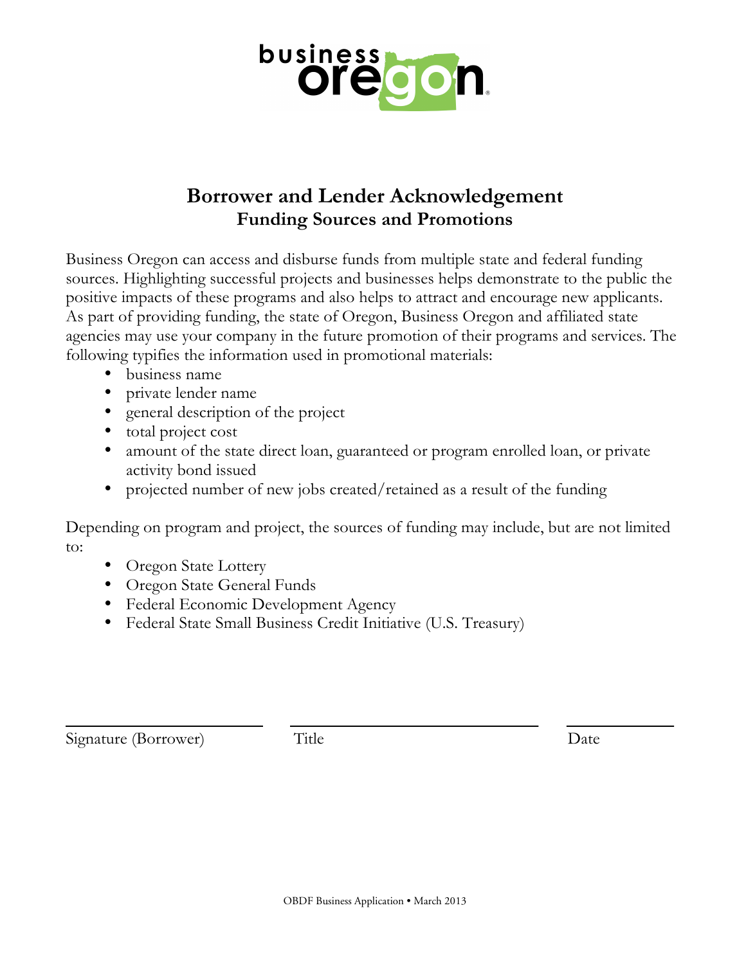

## **Borrower and Lender Acknowledgement Funding Sources and Promotions**

Business Oregon can access and disburse funds from multiple state and federal funding sources. Highlighting successful projects and businesses helps demonstrate to the public the positive impacts of these programs and also helps to attract and encourage new applicants. As part of providing funding, the state of Oregon, Business Oregon and affiliated state agencies may use your company in the future promotion of their programs and services. The following typifies the information used in promotional materials:

- business name
- private lender name
- general description of the project
- total project cost
- amount of the state direct loan, guaranteed or program enrolled loan, or private activity bond issued
- projected number of new jobs created/retained as a result of the funding

Depending on program and project, the sources of funding may include, but are not limited to:

- Oregon State Lottery
- Oregon State General Funds
- Federal Economic Development Agency
- Federal State Small Business Credit Initiative (U.S. Treasury)

Signature (Borrower) Title Date